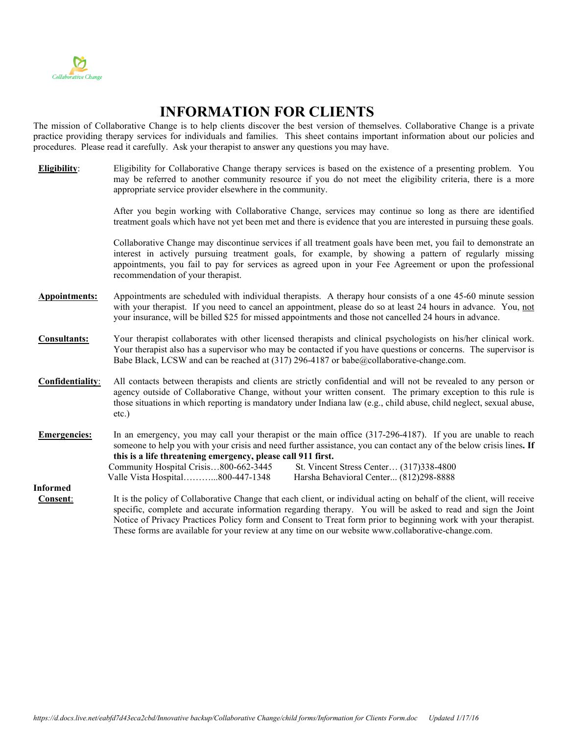

## **INFORMATION FOR CLIENTS**

The mission of Collaborative Change is to help clients discover the best version of themselves. Collaborative Change is a private practice providing therapy services for individuals and families. This sheet contains important information about our policies and procedures. Please read it carefully. Ask your therapist to answer any questions you may have.

**Eligibility**: Eligibility for Collaborative Change therapy services is based on the existence of a presenting problem. You may be referred to another community resource if you do not meet the eligibility criteria, there is a more appropriate service provider elsewhere in the community.

> After you begin working with Collaborative Change, services may continue so long as there are identified treatment goals which have not yet been met and there is evidence that you are interested in pursuing these goals.

> Collaborative Change may discontinue services if all treatment goals have been met, you fail to demonstrate an interest in actively pursuing treatment goals, for example, by showing a pattern of regularly missing appointments, you fail to pay for services as agreed upon in your Fee Agreement or upon the professional recommendation of your therapist.

- **Appointments:** Appointments are scheduled with individual therapists. A therapy hour consists of a one 45-60 minute session with your therapist. If you need to cancel an appointment, please do so at least 24 hours in advance. You, not your insurance, will be billed \$25 for missed appointments and those not cancelled 24 hours in advance.
- **Consultants:** Your therapist collaborates with other licensed therapists and clinical psychologists on his/her clinical work. Your therapist also has a supervisor who may be contacted if you have questions or concerns. The supervisor is Babe Black, LCSW and can be reached at (317) 296-4187 or babe@collaborative-change.com.
- **Confidentiality**: All contacts between therapists and clients are strictly confidential and will not be revealed to any person or agency outside of Collaborative Change, without your written consent. The primary exception to this rule is those situations in which reporting is mandatory under Indiana law (e.g., child abuse, child neglect, sexual abuse, etc.)
- **Emergencies:** In an emergency, you may call your therapist or the main office (317-296-4187). If you are unable to reach someone to help you with your crisis and need further assistance, you can contact any of the below crisis lines**. If this is a life threatening emergency, please call 911 first.**  Community Hospital Crisis…800-662-3445 St. Vincent Stress Center… (317)338-4800 Valle Vista Hospital………...800-447-1348 Harsha Behavioral Center... (812)298-8888

**Informed Consent**: It is the policy of Collaborative Change that each client, or individual acting on behalf of the client, will receive specific, complete and accurate information regarding therapy. You will be asked to read and sign the Joint Notice of Privacy Practices Policy form and Consent to Treat form prior to beginning work with your therapist. These forms are available for your review at any time on our website [www.collaborative-](http://www.collaborative/)change.com.